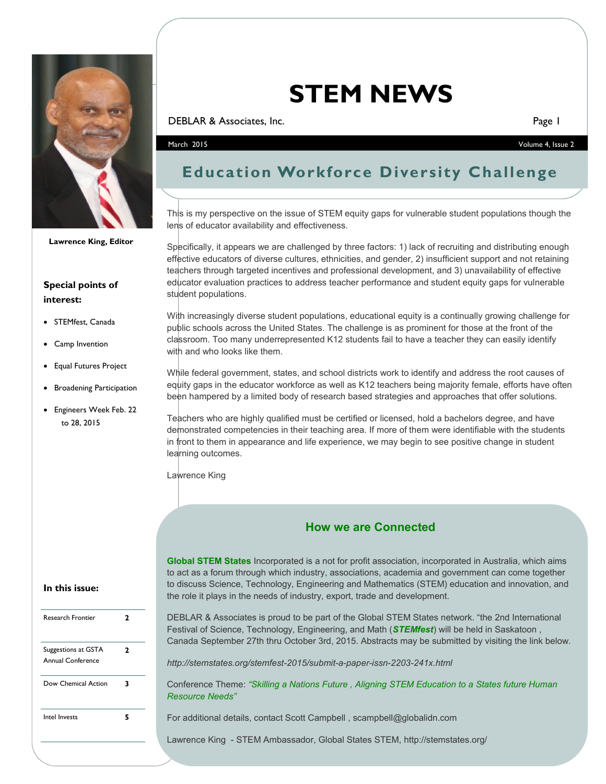

**Lawrence King, Editor**

#### **Special points of interest:**

- STEMfest, Canada
- Camp Invention
- Equal Futures Project
- Broadening Participation
- Engineers Week Feb. 22 to 28, 2015

# **STEM NEWS**

**DEBLAR & Associates, Inc.** Page 1

March 2015 Volume 4, Issue 2

## **Education Workforce Diversity Challenge**

This is my perspective on the issue of STEM equity gaps for vulnerable student populations though the lens of educator availability and effectiveness.

Specifically, it appears we are challenged by three factors: 1) lack of recruiting and distributing enough effective educators of diverse cultures, ethnicities, and gender, 2) insufficient support and not retaining teachers through targeted incentives and professional development, and 3) unavailability of effective educator evaluation practices to address teacher performance and student equity gaps for vulnerable student populations.

With increasingly diverse student populations, educational equity is a continually growing challenge for public schools across the United States. The challenge is as prominent for those at the front of the classroom. Too many underrepresented K12 students fail to have a teacher they can easily identify with and who looks like them.

While federal government, states, and school districts work to identify and address the root causes of equity gaps in the educator workforce as well as K12 teachers being majority female, efforts have often been hampered by a limited body of research based strategies and approaches that offer solutions.

Teachers who are highly qualified must be certified or licensed, hold a bachelors degree, and have demonstrated competencies in their teaching area. If more of them were identifiable with the students in front to them in appearance and life experience, we may begin to see positive change in student learning outcomes.

Lawrence King

#### **How we are Connected**

**Global STEM States** Incorporated is a not for profit association, incorporated in Australia, which aims to act as a forum through which industry, associations, academia and government can come together to discuss Science, Technology, Engineering and Mathematics (STEM) education and innovation, and the role it plays in the needs of industry, export, trade and development.

DEBLAR & Associates is proud to be part of the Global STEM States network. "the 2nd International Festival of Science, Technology, Engineering, and Math (*STEMfest*) will be held in Saskatoon , Canada September 27th thru October 3rd, 2015. Abstracts may be submitted by visiting the link below.

*http://stemstates.org/stemfest-2015/submit-a-paper-issn-2203-241x.html*

Conference Theme: *"Skilling a Nations Future , Aligning STEM Education to a States future Human Resource Needs"*

For additional details, contact Scott Campbell, scampbell@globalidn.com

Lawrence King - STEM Ambassador, Global States STEM, http://stemstates.org/

#### **In this issue:**

| <b>Research Frontier</b>                 | 2 |
|------------------------------------------|---|
| Suggestions at GSTA<br>Annual Conference | 2 |
| Dow Chemical Action                      | 3 |
| Intel Invests                            | 5 |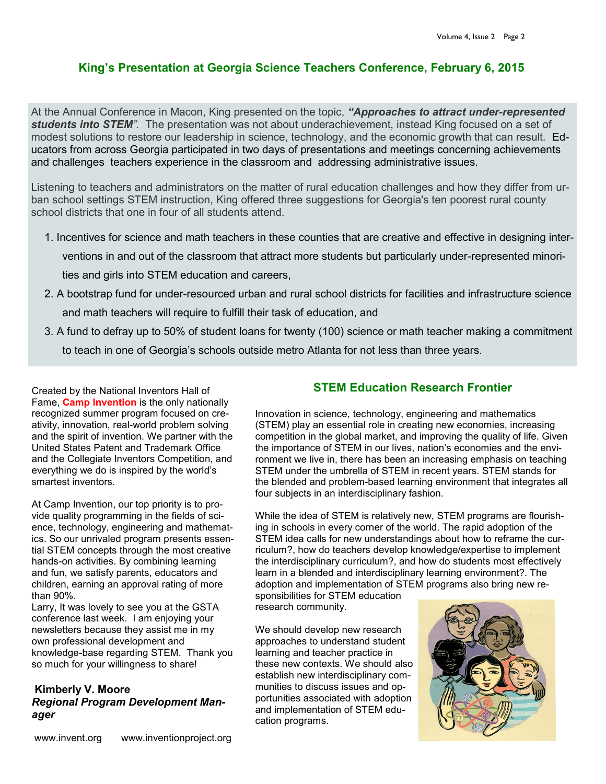#### **King's Presentation at Georgia Science Teachers Conference, February 6, 2015**

At the Annual Conference in Macon, King presented on the topic, *"Approaches to attract under-represented students into STEM".* The presentation was not about underachievement, instead King focused on a set of modest solutions to restore our leadership in science, technology, and the economic growth that can result. Educators from across Georgia participated in two days of presentations and meetings concerning achievements and challenges teachers experience in the classroom and addressing administrative issues.

Listening to teachers and administrators on the matter of rural education challenges and how they differ from urban school settings STEM instruction, King offered three suggestions for Georgia's ten poorest rural county school districts that one in four of all students attend.

- 1. Incentives for science and math teachers in these counties that are creative and effective in designing interventions in and out of the classroom that attract more students but particularly under-represented minorities and girls into STEM education and careers,
- 2. A bootstrap fund for under-resourced urban and rural school districts for facilities and infrastructure science and math teachers will require to fulfill their task of education, and
- 3. A fund to defray up to 50% of student loans for twenty (100) science or math teacher making a commitment

to teach in one of Georgia's schools outside metro Atlanta for not less than three years.

Created by the National Inventors Hall of Fame, **Camp Invention** is the only nationally recognized summer program focused on creativity, innovation, real-world problem solving and the spirit of invention. We partner with the United States Patent and Trademark Office and the Collegiate Inventors Competition, and everything we do is inspired by the world's smartest inventors.

At Camp Invention, our top priority is to provide quality programming in the fields of science, technology, engineering and mathematics. So our unrivaled program presents essential STEM concepts through the most creative hands-on activities. By combining learning and fun, we satisfy parents, educators and children, earning an approval rating of more than 90%.

Larry, It was lovely to see you at the GSTA conference last week. I am enjoying your newsletters because they assist me in my own professional development and knowledge-base regarding STEM. Thank you so much for your willingness to share!

#### **Kimberly V. Moore** *Regional Program Development Manager*

#### **STEM Education Research Frontier**

Innovation in science, technology, engineering and mathematics (STEM) play an essential role in creating new economies, increasing competition in the global market, and improving the quality of life. Given the importance of STEM in our lives, nation's economies and the environment we live in, there has been an increasing emphasis on teaching STEM under the umbrella of STEM in recent years. STEM stands for the blended and problem-based learning environment that integrates all four subjects in an interdisciplinary fashion.

While the idea of STEM is relatively new, STEM programs are flourishing in schools in every corner of the world. The rapid adoption of the STEM idea calls for new understandings about how to reframe the curriculum?, how do teachers develop knowledge/expertise to implement the interdisciplinary curriculum?, and how do students most effectively learn in a blended and interdisciplinary learning environment?. The adoption and implementation of STEM programs also bring new responsibilities for STEM education

research community.

We should develop new research approaches to understand student learning and teacher practice in these new contexts. We should also establish new interdisciplinary communities to discuss issues and opportunities associated with adoption and implementation of STEM education programs.

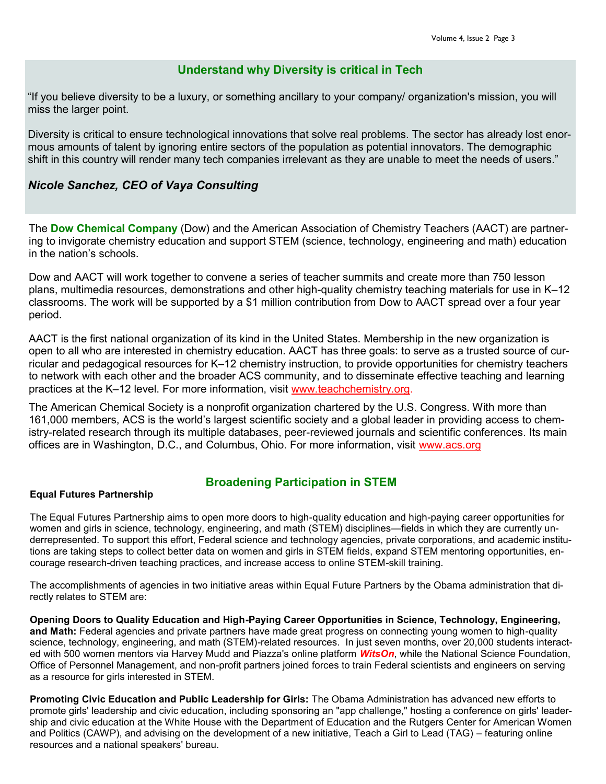#### **Understand why Diversity is critical in Tech**

"If you believe diversity to be a luxury, or something ancillary to your company/ organization's mission, you will miss the larger point.

Diversity is critical to ensure technological innovations that solve real problems. The sector has already lost enormous amounts of talent by ignoring entire sectors of the population as potential innovators. The demographic shift in this country will render many tech companies irrelevant as they are unable to meet the needs of users."

#### *Nicole Sanchez, CEO of Vaya Consulting*

The **Dow Chemical Company** (Dow) and the American Association of Chemistry Teachers (AACT) are partnering to invigorate chemistry education and support STEM (science, technology, engineering and math) education in the nation's schools.

Dow and AACT will work together to convene a series of teacher summits and create more than 750 lesson plans, multimedia resources, demonstrations and other high-quality chemistry teaching materials for use in K–12 classrooms. The work will be supported by a \$1 million contribution from Dow to AACT spread over a four year period.

AACT is the first national organization of its kind in the United States. Membership in the new organization is open to all who are interested in chemistry education. AACT has three goals: to serve as a trusted source of curricular and pedagogical resources for K–12 chemistry instruction, to provide opportunities for chemistry teachers to network with each other and the broader ACS community, and to disseminate effective teaching and learning practices at the K–12 level. For more information, visit [www.teachchemistry.org.](http://cts.businesswire.com/ct/CT?id=smartlink&url=http%3A%2F%2Fwww.teachchemistry.org&esheet=51022585&newsitemid=20150120005731&lan=en-US&anchor=www.teachchemistry.org&index=2&md5=4b173ad8beca0ba789023cc28987c0e3)

The American Chemical Society is a nonprofit organization chartered by the U.S. Congress. With more than 161,000 members, ACS is the world's largest scientific society and a global leader in providing access to chemistry-related research through its multiple databases, peer-reviewed journals and scientific conferences. Its main offices are in Washington, D.C., and Columbus, Ohio. For more information, visit [www.acs.org](http://cts.businesswire.com/ct/CT?id=smartlink&url=http%3A%2F%2Fwww.acs.org&esheet=51022585&newsitemid=20150120005731&lan=en-US&anchor=www.acs.org&index=3&md5=18428ae119e96cd7891b6f430f9e0f24)

#### **Broadening Participation in STEM**

#### **Equal Futures Partnership**

The Equal Futures Partnership aims to open more doors to high-quality education and high-paying career opportunities for women and girls in science, technology, engineering, and math (STEM) disciplines—fields in which they are currently underrepresented. To support this effort, Federal science and technology agencies, private corporations, and academic institutions are taking steps to collect better data on women and girls in STEM fields, expand STEM mentoring opportunities, encourage research-driven teaching practices, and increase access to online STEM-skill training.

The accomplishments of agencies in two initiative areas within Equal Future Partners by the Obama administration that directly relates to STEM are:

**Opening Doors to Quality Education and High-Paying Career Opportunities in Science, Technology, Engineering, and Math:** Federal agencies and private partners have made great progress on connecting young women to high-quality science, technology, engineering, and math (STEM)-related resources. In just seven months, over 20,000 students interacted with 500 women mentors via Harvey Mudd and Piazza's online platform *WitsOn*, while the National Science Foundation, Office of Personnel Management, and non-profit partners joined forces to train Federal scientists and engineers on serving as a resource for girls interested in STEM.

**Promoting Civic Education and Public Leadership for Girls:** The Obama Administration has advanced new efforts to promote girls' leadership and civic education, including sponsoring an "app challenge," hosting a conference on girls' leadership and civic education at the White House with the Department of Education and the Rutgers Center for American Women and Politics (CAWP), and advising on the development of a new initiative, Teach a Girl to Lead (TAG) – featuring online resources and a national speakers' bureau.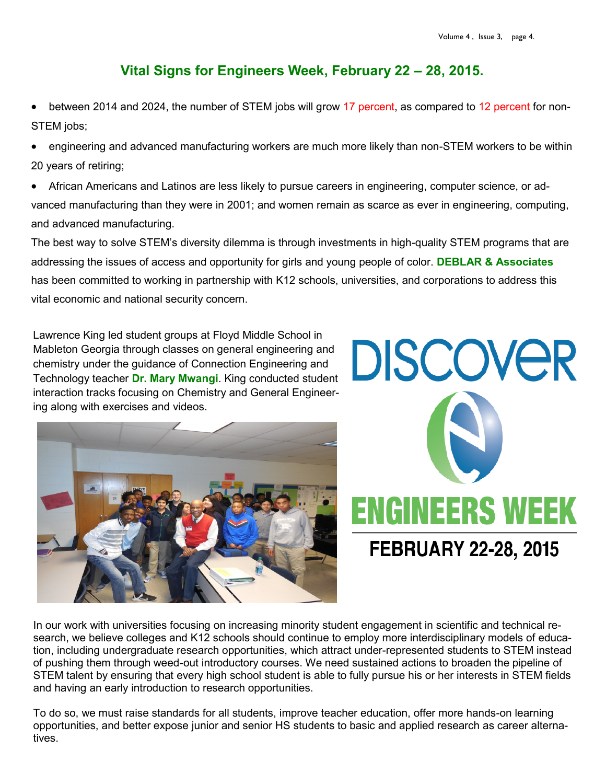### **Vital Signs for Engineers Week, February 22 – 28, 2015.**

 between 2014 and 2024, the number of STEM jobs will grow 17 percent, as compared to 12 percent for non-STEM jobs;

 engineering and advanced manufacturing workers are much more likely than non-STEM workers to be within 20 years of retiring;

 African Americans and Latinos are less likely to pursue careers in engineering, computer science, or advanced manufacturing than they were in 2001; and women remain as scarce as ever in engineering, computing, and advanced manufacturing.

The best way to solve STEM's diversity dilemma is through investments in high-quality STEM programs that are addressing the issues of access and opportunity for girls and young people of color. **DEBLAR & Associates**  has been committed to working in partnership with K12 schools, universities, and corporations to address this vital economic and national security concern.

Lawrence King led student groups at Floyd Middle School in Mableton Georgia through classes on general engineering and chemistry under the guidance of Connection Engineering and Technology teacher **Dr. Mary Mwangi**. King conducted student interaction tracks focusing on Chemistry and General Engineering along with exercises and videos.





In our work with universities focusing on increasing minority student engagement in scientific and technical research, we believe colleges and K12 schools should continue to employ more interdisciplinary models of education, including undergraduate research opportunities, which attract under-represented students to STEM instead of pushing them through weed-out introductory courses. We need sustained actions to broaden the pipeline of STEM talent by ensuring that every high school student is able to fully pursue his or her interests in STEM fields and having an early introduction to research opportunities.

To do so, we must raise standards for all students, improve teacher education, offer more hands-on learning opportunities, and better expose junior and senior HS students to basic and applied research as career alternatives.